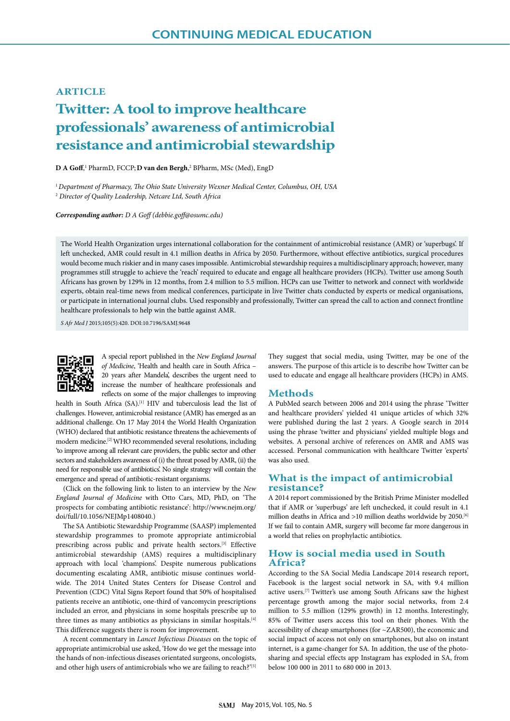# **ARTICLE**

# **Twitter: A tool to improve healthcare professionals' awareness of antimicrobial resistance and antimicrobial stewardship**

**D A Goff**,<sup>1</sup> PharmD, FCCP; **D van den Bergh**,<sup>2</sup> BPharm, MSc (Med), EngD

<sup>1</sup>*Department of Pharmacy, The Ohio State University Wexner Medical Center, Columbus, OH, USA* <sup>2</sup> *Director of Quality Leadership, Netcare Ltd, South Africa*

*Corresponding author: D A Goff (debbie.goff@osumc.edu)*

The World Health Organization urges international collaboration for the containment of antimicrobial resistance (AMR) or 'superbugs'. If left unchecked, AMR could result in 4.1 million deaths in Africa by 2050. Furthermore, without effective antibiotics, surgical procedures would become much riskier and in many cases impossible. Antimicrobial stewardship requires a multidisciplinary approach; however, many programmes still struggle to achieve the 'reach' required to educate and engage all healthcare providers (HCPs). Twitter use among South Africans has grown by 129% in 12 months, from 2.4 million to 5.5 million. HCPs can use Twitter to network and connect with worldwide experts, obtain real-time news from medical conferences, participate in live Twitter chats conducted by experts or medical organisations, or participate in international journal clubs. Used responsibly and professionally, Twitter can spread the call to action and connect frontline healthcare professionals to help win the battle against AMR.

*S Afr Med J* 2015;105(5):420. DOI:10.7196/SAMJ.9648



A special report published in the *New England Journal of Medicine*, 'Health and health care in South Africa – 20 years after Mandela', describes the urgent need to increase the number of healthcare professionals and reflects on some of the major challenges to improving

health in South Africa (SA).<sup>[1]</sup> HIV and tuberculosis lead the list of challenges. However, antimicrobial resistance (AMR) has emerged as an additional challenge. On 17 May 2014 the World Health Organization (WHO) declared that antibiotic resistance threatens the achievements of modern medicine.[2] WHO recommended several resolutions, including 'to improve among all relevant care providers, the public sector and other sectors and stakeholders awareness of (i) the threat posed by AMR, (ii) the need for responsible use of antibiotics'. No single strategy will contain the emergence and spread of antibiotic-resistant organisms.

(Click on the following link to listen to an interview by the *New England Journal of Medicine* with Otto Cars, MD, PhD, on 'The prospects for combating antibiotic resistance': http://www.nejm.org/ doi/full/10.1056/NEJMp1408040.)

The SA Antibiotic Stewardship Programme (SAASP) implemented stewardship programmes to promote appropriate antimicrobial prescribing across public and private health sectors.[3] Effective antimicrobial stewardship (AMS) requires a multidisciplinary approach with local 'champions'. Despite numerous publications documenting escalating AMR, antibiotic misuse continues worldwide. The 2014 United States Centers for Disease Control and Prevention (CDC) Vital Signs Report found that 50% of hospitalised patients receive an antibiotic, one-third of vancomycin prescriptions included an error, and physicians in some hospitals prescribe up to three times as many antibiotics as physicians in similar hospitals.<sup>[4]</sup> This difference suggests there is room for improvement.

A recent commentary in *Lancet Infectious Diseases* on the topic of appropriate antimicrobial use asked, 'How do we get the message into the hands of non-infectious diseases orientated surgeons, oncologists, and other high users of antimicrobials who we are failing to reach?'[5]

They suggest that social media, using Twitter, may be one of the answers. The purpose of this article is to describe how Twitter can be used to educate and engage all healthcare providers (HCPs) in AMS.

### **Methods**

A PubMed search between 2006 and 2014 using the phrase 'Twitter and healthcare providers' yielded 41 unique articles of which 32% were published during the last 2 years. A Google search in 2014 using the phrase 'twitter and physicians' yielded multiple blogs and websites. A personal archive of references on AMR and AMS was accessed. Personal communication with healthcare Twitter 'experts' was also used.

## **What is the impact of antimicrobial resistance?**

A 2014 report commissioned by the British Prime Minister modelled that if AMR or 'superbugs' are left unchecked, it could result in 4.1 million deaths in Africa and >10 million deaths worldwide by 2050.<sup>[6]</sup> If we fail to contain AMR, surgery will become far more dangerous in a world that relies on prophylactic antibiotics.

## **How is social media used in South Africa?**

According to the SA Social Media Landscape 2014 research report, Facebook is the largest social network in SA, with 9.4 million active users.[7] Twitter's use among South Africans saw the highest percentage growth among the major social networks, from 2.4 million to 5.5 million (129% growth) in 12 months. Interestingly, 85% of Twitter users access this tool on their phones. With the accessibility of cheap smartphones (for ~ZAR500), the economic and social impact of access not only on smartphones, but also on instant internet, is a game-changer for SA. In addition, the use of the photosharing and special effects app Instagram has exploded in SA, from below 100 000 in 2011 to 680 000 in 2013.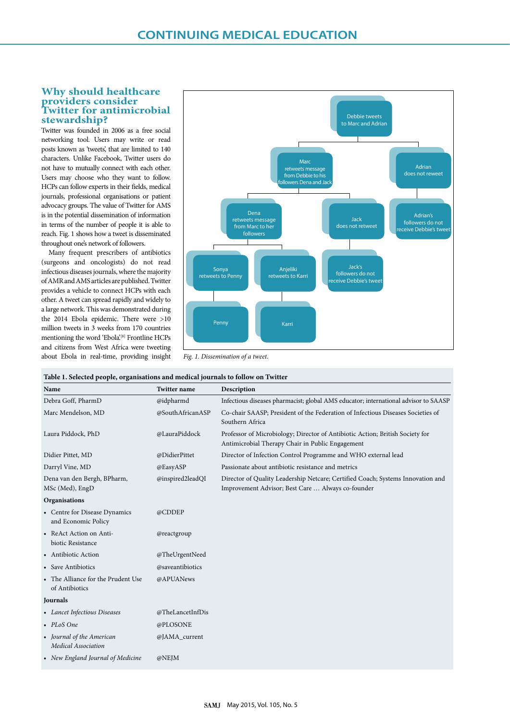## **Why should healthcare providers consider Twitter for antimicrobial stewardship?**

Twitter was founded in 2006 as a free social networking tool. Users may write or read posts known as 'tweets', that are limited to 140 characters. Unlike Facebook, Twitter users do not have to mutually connect with each other. Users may choose who they want to follow. HCPs can follow experts in their fields, medical journals, professional organisations or patient advocacy groups. The value of Twitter for AMS is in the potential dissemination of information in terms of the number of people it is able to reach. Fig. 1 shows how a tweet is disseminated throughout one's network of followers.

Many frequent prescribers of antibiotics (surgeons and oncologists) do not read infectious diseases journals, where the majority of AMR and AMS articles are published. Twitter provides a vehicle to connect HCPs with each other. A tweet can spread rapidly and widely to a large network. This was demonstrated during the 2014 Ebola epidemic. There were >10 million tweets in 3 weeks from 170 countries mentioning the word 'Ebola'.<sup>[8]</sup> Frontline HCPs and citizens from West Africa were tweeting about Ebola in real-time, providing insight



*Fig. 1. Dissemination of a tweet.* 

|  |  | Table 1. Selected people, organisations and medical journals to follow on Twitter |
|--|--|-----------------------------------------------------------------------------------|
|  |  |                                                                                   |

| Name                                                 | <b>Twitter name</b> | Description                                                                                                                          |
|------------------------------------------------------|---------------------|--------------------------------------------------------------------------------------------------------------------------------------|
| Debra Goff, PharmD                                   | @idpharmd           | Infectious diseases pharmacist; global AMS educator; international advisor to SAASP                                                  |
| Marc Mendelson, MD                                   | @SouthAfricanASP    | Co-chair SAASP; President of the Federation of Infectious Diseases Societies of<br>Southern Africa                                   |
| Laura Piddock, PhD                                   | @LauraPiddock       | Professor of Microbiology; Director of Antibiotic Action; British Society for<br>Antimicrobial Therapy Chair in Public Engagement    |
| Didier Pittet, MD                                    | @DidierPittet       | Director of Infection Control Programme and WHO external lead                                                                        |
| Darryl Vine, MD                                      | @EasyASP            | Passionate about antibiotic resistance and metrics                                                                                   |
| Dena van den Bergh, BPharm,<br>MSc (Med), EngD       | @inspired2leadQI    | Director of Quality Leadership Netcare; Certified Coach; Systems Innovation and<br>Improvement Advisor; Best Care  Always co-founder |
| Organisations                                        |                     |                                                                                                                                      |
| • Centre for Disease Dynamics<br>and Economic Policy | @CDDEP              |                                                                                                                                      |
| • ReAct Action on Anti-<br>biotic Resistance         | @reactgroup         |                                                                                                                                      |
| • Antibiotic Action                                  | @TheUrgentNeed      |                                                                                                                                      |
| • Save Antibiotics                                   | @saveantibiotics    |                                                                                                                                      |
| • The Alliance for the Prudent Use<br>of Antibiotics | @APUANews           |                                                                                                                                      |
| Journals                                             |                     |                                                                                                                                      |
| • Lancet Infectious Diseases                         | @TheLancetInfDis    |                                                                                                                                      |
| • PLoS One                                           | @PLOSONE            |                                                                                                                                      |
| • Journal of the American<br>Medical Association     | @JAMA_current       |                                                                                                                                      |
| • New England Journal of Medicine                    | @NEJM               |                                                                                                                                      |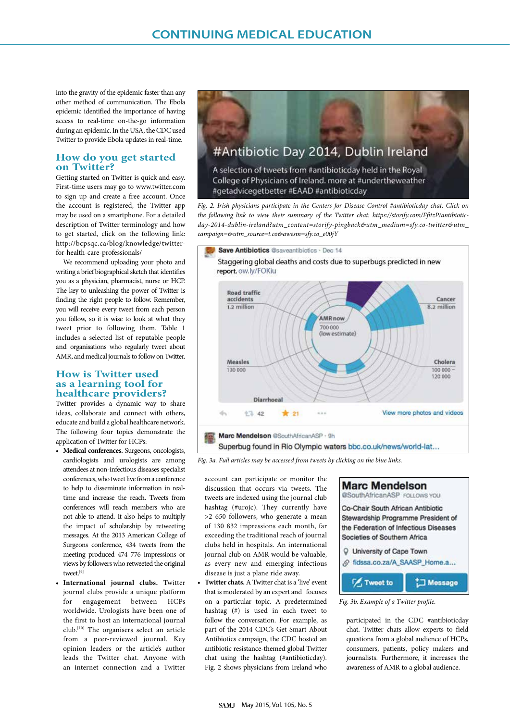into the gravity of the epidemic faster than any other method of communication. The Ebola epidemic identified the importance of having access to real-time on-the-go information during an epidemic. In the USA, the CDC used Twitter to provide Ebola updates in real-time.

# **How do you get started on Twitter?**

Getting started on Twitter is quick and easy. First-time users may go to www.twitter.com to sign up and create a free account. Once the account is registered, the Twitter app may be used on a smartphone. For a detailed description of Twitter terminology and how to get started, click on the following link: http://bcpsqc.ca/blog/knowledge/twitterfor-health-care-professionals/

We recommend uploading your photo and writing a brief biographical sketch that identifies you as a physician, pharmacist, nurse or HCP. The key to unleashing the power of Twitter is finding the right people to follow. Remember, you will receive every tweet from each person you follow, so it is wise to look at what they tweet prior to following them. Table 1 includes a selected list of reputable people and organisations who regularly tweet about AMR, and medical journals to follow on Twitter.

# **How is Twitter used as a learning tool for healthcare providers?**

Twitter provides a dynamic way to share ideas, collaborate and connect with others, educate and build a global healthcare network. The following four topics demonstrate the application of Twitter for HCPs:

- **• Medical conferences.** Surgeons, oncologists, cardiologists and urologists are among attendees at non-infectious diseases specialist conferences, who tweet live from a conference to help to disseminate information in realtime and increase the reach. Tweets from conferences will reach members who are not able to attend. It also helps to multiply the impact of scholarship by retweeting messages. At the 2013 American College of Surgeons conference, 434 tweets from the meeting produced 474 776 impressions or views by followers who retweeted the original tweet<sup>[9]</sup>
- **• International journal clubs.** Twitter journal clubs provide a unique platform for engagement between HCPs worldwide. Urologists have been one of the first to host an international journal club.[10] The organisers select an article from a peer-reviewed journal. Key opinion leaders or the article's author leads the Twitter chat. Anyone with an internet connection and a Twitter



*Fig. 2. Irish physicians participate in the Centers for Disease Control #antibioticday chat. Click on the following link to view their summary of the Twitter chat: https://storify.com/FfitzP/antibioticday-2014-dublin-ireland?utm\_content=storify-pingback&utm\_medium=sfy.co-twitter&utm\_ campaign=&utm\_source=t.co&awesm=sfy.co\_e00jY*



*Fig. 3a. Full articles may be accessed from tweets by clicking on the blue links.*

account can participate or monitor the discussion that occurs via tweets. The tweets are indexed using the journal club hashtag (#urojc). They currently have >2 650 followers, who generate a mean of 130 832 impressions each month, far exceeding the traditional reach of journal clubs held in hospitals. An international journal club on AMR would be valuable, as every new and emerging infectious disease is just a plane ride away.

**• Twitter chats.** A Twitter chat is a 'live' event that is moderated by an expert and focuses on a particular topic. A predetermined hashtag (#) is used in each tweet to follow the conversation. For example, as part of the 2014 CDC's Get Smart About Antibiotics campaign, the CDC hosted an antibiotic resistance-themed global Twitter chat using the hashtag (#antibioticday). Fig. 2 shows physicians from Ireland who



*Fig. 3b. Example of a Twitter profile.*

participated in the CDC #antibioticday chat. Twitter chats allow experts to field questions from a global audience of HCPs, consumers, patients, policy makers and journalists. Furthermore, it increases the awareness of AMR to a global audience.